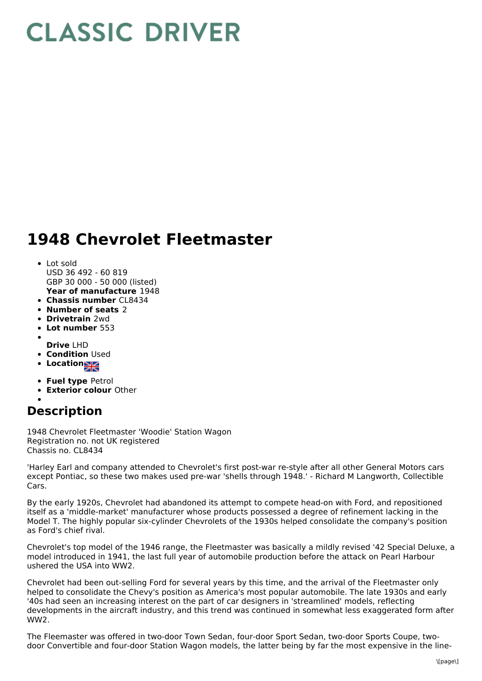## **CLASSIC DRIVER**

## **1948 Chevrolet Fleetmaster**

## **Year of manufacture** 1948 Lot sold USD 36 492 - 60 819 GBP 30 000 - 50 000 (listed)

- **Chassis number** CL8434
- **Number of seats** 2
- **Drivetrain** 2wd
- **Lot number** 553
- **Drive** LHD
- **Condition Used**
- **Location**
- 
- **Fuel type** Petrol
- **Exterior colour** Other

## **Description**

1948 Chevrolet Fleetmaster 'Woodie' Station Wagon Registration no. not UK registered Chassis no. CL8434

'Harley Earl and company attended to Chevrolet's first post-war re-style after all other General Motors cars except Pontiac, so these two makes used pre-war 'shells through 1948.' - Richard M Langworth, Collectible Cars.

By the early 1920s, Chevrolet had abandoned its attempt to compete head-on with Ford, and repositioned itself as a 'middle-market' manufacturer whose products possessed a degree of refinement lacking in the Model T. The highly popular six-cylinder Chevrolets of the 1930s helped consolidate the company's position as Ford's chief rival.

Chevrolet's top model of the 1946 range, the Fleetmaster was basically a mildly revised '42 Special Deluxe, a model introduced in 1941, the last full year of automobile production before the attack on Pearl Harbour ushered the USA into WW2.

Chevrolet had been out-selling Ford for several years by this time, and the arrival of the Fleetmaster only helped to consolidate the Chevy's position as America's most popular automobile. The late 1930s and early '40s had seen an increasing interest on the part of car designers in 'streamlined' models, reflecting developments in the aircraft industry, and this trend was continued in somewhat less exaggerated form after WW2.

The Fleemaster was offered in two-door Town Sedan, four-door Sport Sedan, two-door Sports Coupe, twodoor Convertible and four-door Station Wagon models, the latter being by far the most expensive in the line